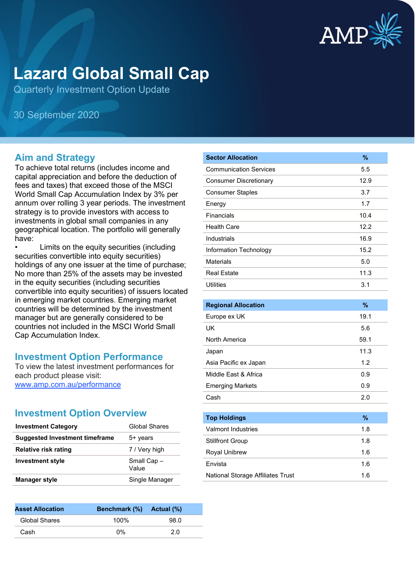

# **Lazard Global Small Cap**

Quarterly Investment Option Update

30 September 2020

### **Aim and Strategy**

To achieve total returns (includes income and capital appreciation and before the deduction of fees and taxes) that exceed those of the MSCI World Small Cap Accumulation Index by 3% per annum over rolling 3 year periods. The investment strategy is to provide investors with access to investments in global small companies in any geographical location. The portfolio will generally have:

Limits on the equity securities (including securities convertible into equity securities) holdings of any one issuer at the time of purchase; No more than 25% of the assets may be invested in the equity securities (including securities convertible into equity securities) of issuers located in emerging market countries. Emerging market countries will be determined by the investment manager but are generally considered to be countries not included in the MSCI World Small Cap Accumulation Index.

### **Investment Option Performance**

To view the latest investment performances for each product please visit: [www.amp.com.au/performance](https://www.amp.com.au/performance)

# **Investment Option Overview**

| <b>Investment Category</b>            | <b>Global Shares</b> |
|---------------------------------------|----------------------|
| <b>Suggested Investment timeframe</b> | 5+ years             |
| <b>Relative risk rating</b>           | 7 / Very high        |
| <b>Investment style</b>               | Small Cap-<br>Value  |
| <b>Manager style</b>                  | Single Manager       |

| <b>Asset Allocation</b> | Benchmark (%) Actual (%) |      |  |
|-------------------------|--------------------------|------|--|
| Global Shares           | 100%                     | 98.0 |  |
| Cash                    | በ%                       | 2.0  |  |

| <b>Sector Allocation</b>      | $\frac{9}{6}$ |
|-------------------------------|---------------|
| <b>Communication Services</b> | 5.5           |
| <b>Consumer Discretionary</b> | 12.9          |
| <b>Consumer Staples</b>       | 3.7           |
| Energy                        | 1.7           |
| Financials                    | 10.4          |
| <b>Health Care</b>            | 12.2          |
| Industrials                   | 16.9          |
| Information Technology        | 15.2          |
| <b>Materials</b>              | 5.0           |
| <b>Real Estate</b>            | 11.3          |
| Utilities                     | 3.1           |

| <b>Regional Allocation</b> | %    |
|----------------------------|------|
| Europe ex UK               | 19.1 |
| UK                         | 5.6  |
| North America              | 59.1 |
| Japan                      | 11.3 |
| Asia Pacific ex Japan      | 1.2  |
| Middle Fast & Africa       | 0.9  |
| <b>Emerging Markets</b>    | 0.9  |
| Cash                       | 2.0  |
|                            |      |
| <b>Top Holdings</b>        | %    |
| <b>Valmont Industries</b>  | 1.8  |
| <b>Stillfront Group</b>    | 1.8  |

| Royal Unibrew                     | 1 6 |
|-----------------------------------|-----|
| Envista                           | 16  |
| National Storage Affiliates Trust | 1 6 |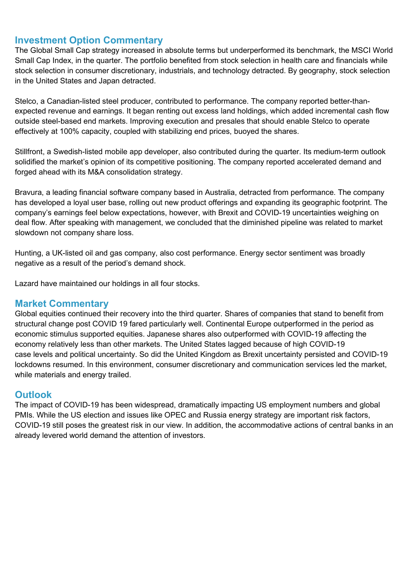### **Investment Option Commentary**

The Global Small Cap strategy increased in absolute terms but underperformed its benchmark, the MSCI World Small Cap Index, in the quarter. The portfolio benefited from stock selection in health care and financials while stock selection in consumer discretionary, industrials, and technology detracted. By geography, stock selection in the United States and Japan detracted.

Stelco, a Canadian-listed steel producer, contributed to performance. The company reported better-thanexpected revenue and earnings. It began renting out excess land holdings, which added incremental cash flow outside steel-based end markets. Improving execution and presales that should enable Stelco to operate effectively at 100% capacity, coupled with stabilizing end prices, buoyed the shares.

Stillfront, a Swedish-listed mobile app developer, also contributed during the quarter. Its medium-term outlook solidified the market's opinion of its competitive positioning. The company reported accelerated demand and forged ahead with its M&A consolidation strategy.

Bravura, a leading financial software company based in Australia, detracted from performance. The company has developed a loyal user base, rolling out new product offerings and expanding its geographic footprint. The company's earnings feel below expectations, however, with Brexit and COVID-19 uncertainties weighing on deal flow. After speaking with management, we concluded that the diminished pipeline was related to market slowdown not company share loss.

Hunting, a UK-listed oil and gas company, also cost performance. Energy sector sentiment was broadly negative as a result of the period's demand shock.

Lazard have maintained our holdings in all four stocks.

#### **Market Commentary**

Global equities continued their recovery into the third quarter. Shares of companies that stand to benefit from structural change post COVID 19 fared particularly well. Continental Europe outperformed in the period as economic stimulus supported equities. Japanese shares also outperformed with COVID-19 affecting the economy relatively less than other markets. The United States lagged because of high COVID-19 case levels and political uncertainty. So did the United Kingdom as Brexit uncertainty persisted and COVID-19 lockdowns resumed. In this environment, consumer discretionary and communication services led the market, while materials and energy trailed.

### **Outlook**

The impact of COVID-19 has been widespread, dramatically impacting US employment numbers and global PMIs. While the US election and issues like OPEC and Russia energy strategy are important risk factors, COVID-19 still poses the greatest risk in our view. In addition, the accommodative actions of central banks in an already levered world demand the attention of investors.